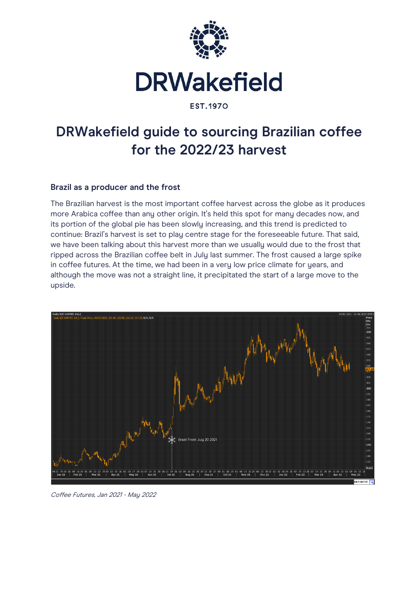

**EST.1970** 

# **DRWakefield guide to sourcing Brazilian coffee for the 2022/23 harvest**

## **Brazil as a producer and the frost**

The Brazilian harvest is the most important coffee harvest across the globe as it produces more Arabica coffee than any other origin. It's held this spot for many decades now, and its portion of the global pie has been slowly increasing, and this trend is predicted to continue: Brazil's harvest is set to play centre stage for the foreseeable future. That said, we have been talking about this harvest more than we usually would due to the frost that ripped across the Brazilian coffee belt in July last summer. The frost caused a large spike in coffee futures. At the time, we had been in a very low price climate for years, and although the move was not a straight line, it precipitated the start of a large move to the upside.



Coffee Futures, Jan 2021 - May 2022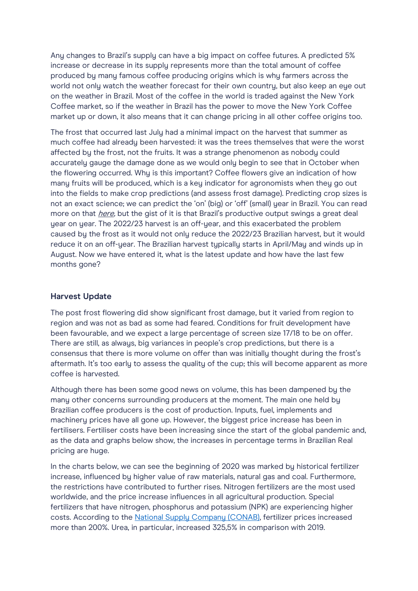Any changes to Brazil's supply can have a big impact on coffee futures. A predicted 5% increase or decrease in its supply represents more than the total amount of coffee produced by many famous coffee producing origins which is why farmers across the world not only watch the weather forecast for their own country, but also keep an eye out on the weather in Brazil. Most of the coffee in the world is traded against the New York Coffee market, so if the weather in Brazil has the power to move the New York Coffee market up or down, it also means that it can change pricing in all other coffee origins too.

The frost that occurred last July had a minimal impact on the harvest that summer as much coffee had already been harvested: it was the trees themselves that were the worst affected by the frost, not the fruits. It was a strange phenomenon as nobody could accurately gauge the damage done as we would only begin to see that in October when the flowering occurred. Why is this important? Coffee flowers give an indication of how many fruits will be produced, which is a key indicator for agronomists when they go out into the fields to make crop predictions (and assess frost damage). Predicting crop sizes is not an exact science; we can predict the 'on' (big) or 'off' (small) year in Brazil. You can read more on that *here*, but the gist of it is that Brazil's productive output swings a great deal year on year. The 2022/23 harvest is an off-year, and this exacerbated the problem caused by the frost as it would not only reduce the 2022/23 Brazilian harvest, but it would reduce it on an off-year. The Brazilian harvest typically starts in April/May and winds up in August. Now we have entered it, what is the latest update and how have the last few months gone?

### **Harvest Update**

The post frost flowering did show significant frost damage, but it varied from region to region and was not as bad as some had feared. Conditions for fruit development have been favourable, and we expect a large percentage of screen size 17/18 to be on offer. There are still, as always, big variances in people's crop predictions, but there is a consensus that there is more volume on offer than was initially thought during the frost's aftermath. It's too early to assess the quality of the cup; this will become apparent as more coffee is harvested.

Although there has been some good news on volume, this has been dampened by the many other concerns surrounding producers at the moment. The main one held by Brazilian coffee producers is the cost of production. Inputs, fuel, implements and machinery prices have all gone up. However, the biggest price increase has been in fertilisers. Fertiliser costs have been increasing since the start of the global pandemic and, as the data and graphs below show, the increases in percentage terms in Brazilian Real pricing are huge.

In the charts below, we can see the beginning of 2020 was marked by historical fertilizer increase, influenced by higher value of raw materials, natural gas and coal. Furthermore, the restrictions have contributed to further rises. Nitrogen fertilizers are the most used worldwide, and the price increase influences in all agricultural production. Special fertilizers that have nitrogen, phosphorus and potassium (NPK) are experiencing higher costs. According to the [National Supply Company \(CONAB\),](https://consultaweb.conab.gov.br/consultas/consultaInsumo.do?method=acaoListarConsulta) fertilizer prices increased more than 200%. Urea, in particular, increased 325,5% in comparison with 2019.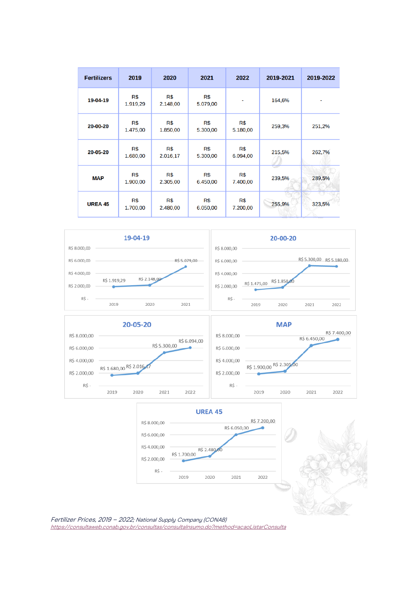| <b>Fertilizers</b> | 2019            | 2020            | 2021            | 2022            | 2019-2021 | 2019-2022 |
|--------------------|-----------------|-----------------|-----------------|-----------------|-----------|-----------|
| 19-04-19           | R\$<br>1.919.29 | R\$<br>2.148,00 | R\$<br>5.079,00 |                 | 164,6%    |           |
| 20-00-20           | R\$<br>1.475,00 | R\$<br>1.850,00 | R\$<br>5.300,00 | R\$<br>5.180,00 | 259,3%    | 251,2%    |
| 20-05-20           | R\$<br>1.680,00 | R\$<br>2.016,17 | R\$<br>5.300,00 | R\$<br>6.094,00 | 215,5%    | 262,7%    |
| <b>MAP</b>         | R\$<br>1.900,00 | R\$<br>2.305,00 | R\$<br>6.450,00 | R\$<br>7.400,00 | 239,5%    | 289,5%    |
| <b>UREA 45</b>     | R\$<br>1.700,00 | R\$<br>2.480,00 | R\$<br>6.050,00 | R\$<br>7.200,00 | 255,9%    | 323,5%    |











Fertilizer Prices, 2019 – 2022; National Supply Company (CONAB) <https://consultaweb.conab.gov.br/consultas/consultaInsumo.do?method=acaoListarConsulta>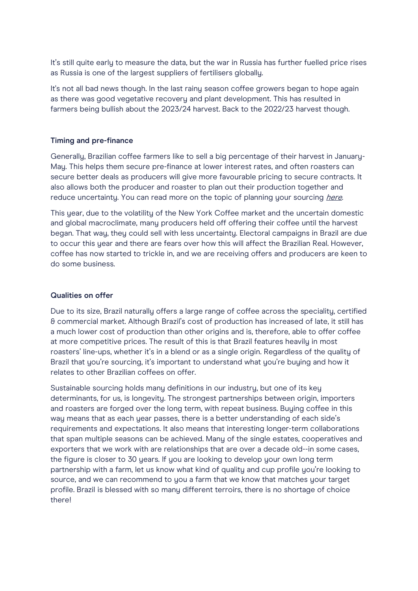It's still quite early to measure the data, but the war in Russia has further fuelled price rises as Russia is one of the largest suppliers of fertilisers globally.

It's not all bad news though. In the last rainy season coffee growers began to hope again as there was good vegetative recovery and plant development. This has resulted in farmers being bullish about the 2023/24 harvest. Back to the 2022/23 harvest though.

#### **Timing and pre-finance**

Generally, Brazilian coffee farmers like to sell a big percentage of their harvest in January-May. This helps them secure pre-finance at lower interest rates, and often roasters can secure better deals as producers will give more favourable pricing to secure contracts. It also allows both the producer and roaster to plan out their production together and reduce uncertainty. You can read more on the topic of planning your sourcing [here](https://drwakefield.com/news-and-views/forward-contracts-why-it-pays-to-plan/).

This year, due to the volatility of the New York Coffee market and the uncertain domestic and global macroclimate, many producers held off offering their coffee until the harvest began. That way, they could sell with less uncertainty. Electoral campaigns in Brazil are due to occur this year and there are fears over how this will affect the Brazilian Real. However, coffee has now started to trickle in, and we are receiving offers and producers are keen to do some business.

#### **Qualities on offer**

Due to its size, Brazil naturally offers a large range of coffee across the speciality, certified & commercial market. Although Brazil's cost of production has increased of late, it still has a much lower cost of production than other origins and is, therefore, able to offer coffee at more competitive prices. The result of this is that Brazil features heavily in most roasters' line-ups, whether it's in a blend or as a single origin. Regardless of the quality of Brazil that you're sourcing, it's important to understand what you're buying and how it relates to other Brazilian coffees on offer.

Sustainable sourcing holds many definitions in our industry, but one of its key determinants, for us, is longevity. The strongest partnerships between origin, importers and roasters are forged over the long term, with repeat business. Buying coffee in this way means that as each year passes, there is a better understanding of each side's requirements and expectations. It also means that interesting longer-term collaborations that span multiple seasons can be achieved. Many of the single estates, cooperatives and exporters that we work with are relationships that are over a decade old--in some cases, the figure is closer to 30 years. If you are looking to develop your own long term partnership with a farm, let us know what kind of quality and cup profile you're looking to source, and we can recommend to you a farm that we know that matches your target profile. Brazil is blessed with so many different terroirs, there is no shortage of choice there!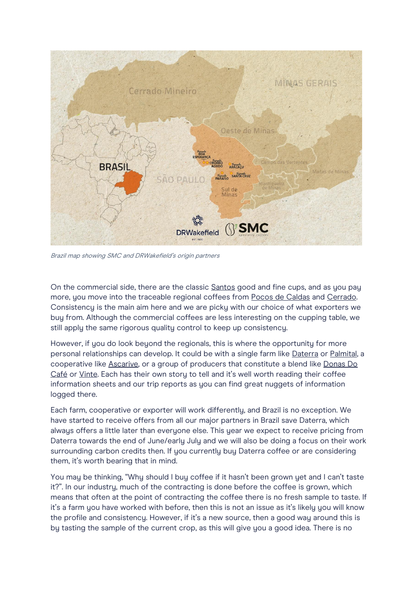

Brazil map showing SMC and DRWakefield's origin partners

On the commercial side, there are the classic [Santos](https://drwakefield.com/coffees/brazil-santos-23-1718/) good and fine cups, and as you pay more, you move into the traceable regional coffees from [Pocos de Caldas](https://drwakefield.com/coffees/brazil-2-pocos-de-caldas-fine-cup/) and [Cerrado.](https://drwakefield.com/coffees/brazil-cerrado/)  Consistency is the main aim here and we are picky with our choice of what exporters we buy from. Although the commercial coffees are less interesting on the cupping table, we still apply the same rigorous quality control to keep up consistency.

However, if you do look beyond the regionals, this is where the opportunity for more personal relationships can develop. It could be with a single farm like [Daterra](https://drwakefield.com/producer/daterra/) or [Palmital,](https://drwakefield.com/coffees/brazil-fazenda-palmital/) a cooperative like [Ascarive,](https://drwakefield.com/producer/ascarive/) or a group of producers that constitute a blend like [Donas Do](https://drwakefield.com/coffees/brazil-donas-do-cafe/)  [Café](https://drwakefield.com/coffees/brazil-donas-do-cafe/) or [Vinte.](https://drwakefield.com/coffees/brazil-vinte/) Each has their own story to tell and it's well worth reading their coffee information sheets and our trip reports as you can find great nuggets of information logged there.

Each farm, cooperative or exporter will work differently, and Brazil is no exception. We have started to receive offers from all our major partners in Brazil save Daterra, which always offers a little later than everyone else. This year we expect to receive pricing from Daterra towards the end of June/early July and we will also be doing a focus on their work surrounding carbon credits then. If you currently buy Daterra coffee or are considering them, it's worth bearing that in mind.

You may be thinking, "Why should I buy coffee if it hasn't been grown yet and I can't taste it?". In our industry, much of the contracting is done before the coffee is grown, which means that often at the point of contracting the coffee there is no fresh sample to taste. If it's a farm you have worked with before, then this is not an issue as it's likely you will know the profile and consistency. However, if it's a new source, then a good way around this is by tasting the sample of the current crop, as this will give you a good idea. There is no